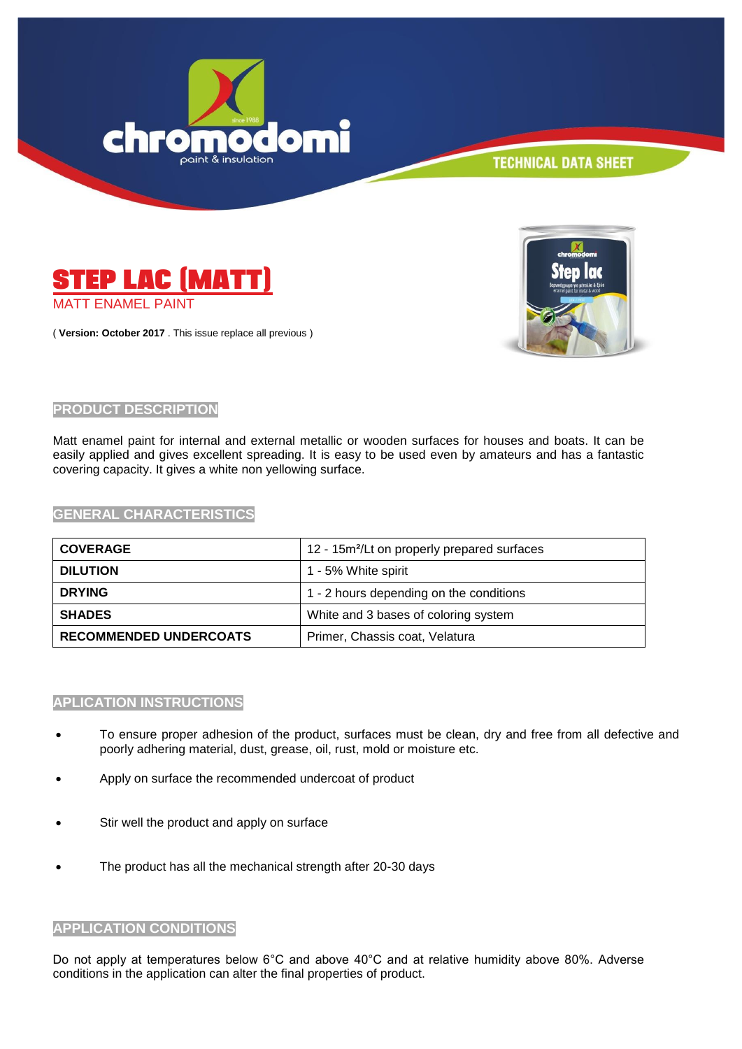



( **Version: October 2017** . This issue replace all previous )



## **PRODUCT DESCRIPTION**

Matt enamel paint for internal and external metallic or wooden surfaces for houses and boats. It can be easily applied and gives excellent spreading. It is easy to be used even by amateurs and has a fantastic covering capacity. It gives a white non yellowing surface.

#### **GENERAL CHARACTERISTICS**

| <b>COVERAGE</b>               | 12 - 15m <sup>2</sup> /Lt on properly prepared surfaces |
|-------------------------------|---------------------------------------------------------|
| <b>DILUTION</b>               | 1 - 5% White spirit                                     |
| <b>DRYING</b>                 | 1 - 2 hours depending on the conditions                 |
| <b>SHADES</b>                 | White and 3 bases of coloring system                    |
| <b>RECOMMENDED UNDERCOATS</b> | Primer, Chassis coat, Velatura                          |

# **APLICATION INSTRUCTIONS**

- To ensure proper adhesion of the product, surfaces must be clean, dry and free from all defective and poorly adhering material, dust, grease, oil, rust, mold or moisture etc.
- Apply on surface the recommended undercoat of product
- Stir well the product and apply on surface
- The product has all the mechanical strength after 20-30 days

#### **APPLICATION CONDITIONS**

Do not apply at temperatures below 6°C and above 40°C and at relative humidity above 80%. Adverse conditions in the application can alter the final properties of product.